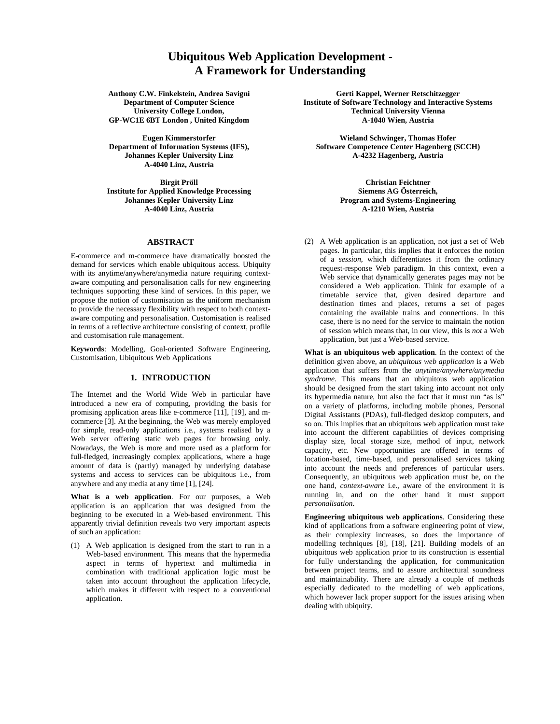# **Ubiquitous Web Application Development - A Framework for Understanding**

**Anthony C.W. Finkelstein, Andrea Savigni Department of Computer Science University College London, GP-WC1E 6BT London , United Kingdom**

**Eugen Kimmerstorfer Department of Information Systems (IFS), Johannes Kepler University Linz A-4040 Linz, Austria**

**Birgit Pröll Institute for Applied Knowledge Processing Johannes Kepler University Linz A-4040 Linz, Austria**

## **ABSTRACT**

E-commerce and m-commerce have dramatically boosted the demand for services which enable ubiquitous access. Ubiquity with its anytime/anywhere/anymedia nature requiring contextaware computing and personalisation calls for new engineering techniques supporting these kind of services. In this paper, we propose the notion of customisation as the uniform mechanism to provide the necessary flexibility with respect to both contextaware computing and personalisation. Customisation is realised in terms of a reflective architecture consisting of context, profile and customisation rule management.

**Keywords**: Modelling, Goal-oriented Software Engineering, Customisation, Ubiquitous Web Applications

# **1. INTRODUCTION**

The Internet and the World Wide Web in particular have introduced a new era of computing, providing the basis for promising application areas like e-commerce [11], [19], and mcommerce [3]. At the beginning, the Web was merely employed for simple, read-only applications i.e., systems realised by a Web server offering static web pages for browsing only. Nowadays, the Web is more and more used as a platform for full-fledged, increasingly complex applications, where a huge amount of data is (partly) managed by underlying database systems and access to services can be ubiquitous i.e., from anywhere and any media at any time [1], [24].

**What is a web application**. For our purposes, a Web application is an application that was designed from the beginning to be executed in a Web-based environment. This apparently trivial definition reveals two very important aspects of such an application:

(1) A Web application is designed from the start to run in a Web-based environment. This means that the hypermedia aspect in terms of hypertext and multimedia in combination with traditional application logic must be taken into account throughout the application lifecycle, which makes it different with respect to a conventional application.

**Gerti Kappel, Werner Retschitzegger Institute of Software Technology and Interactive Systems Technical University Vienna A-1040 Wien, Austria**

**Wieland Schwinger, Thomas Hofer Software Competence Center Hagenberg (SCCH) A-4232 Hagenberg, Austria**

> **Christian Feichtner Siemens AG Österreich, Program and Systems-Engineering A-1210 Wien, Austria**

(2) A Web application is an application, not just a set of Web pages. In particular, this implies that it enforces the notion of a *session*, which differentiates it from the ordinary request-response Web paradigm. In this context, even a Web service that dynamically generates pages may not be considered a Web application. Think for example of a timetable service that, given desired departure and destination times and places, returns a set of pages containing the available trains and connections. In this case, there is no need for the service to maintain the notion of session which means that, in our view, this is *not* a Web application, but just a Web-based service.

**What is an ubiquitous web application**. In the context of the definition given above, an *ubiquitous web application* is a Web application that suffers from the *anytime/anywhere/anymedia syndrome*. This means that an ubiquitous web application should be designed from the start taking into account not only its hypermedia nature, but also the fact that it must run "as is" on a variety of platforms, including mobile phones, Personal Digital Assistants (PDAs), full-fledged desktop computers, and so on. This implies that an ubiquitous web application must take into account the different capabilities of devices comprising display size, local storage size, method of input, network capacity, etc. New opportunities are offered in terms of location-based, time-based, and personalised services taking into account the needs and preferences of particular users. Consequently, an ubiquitous web application must be, on the one hand, *context-aware* i.e., aware of the environment it is running in, and on the other hand it must support *personalisation*.

**Engineering ubiquitous web applications**. Considering these kind of applications from a software engineering point of view, as their complexity increases, so does the importance of modelling techniques [8], [18], [21]. Building models of an ubiquitous web application prior to its construction is essential for fully understanding the application, for communication between project teams, and to assure architectural soundness and maintainability. There are already a couple of methods especially dedicated to the modelling of web applications, which however lack proper support for the issues arising when dealing with ubiquity.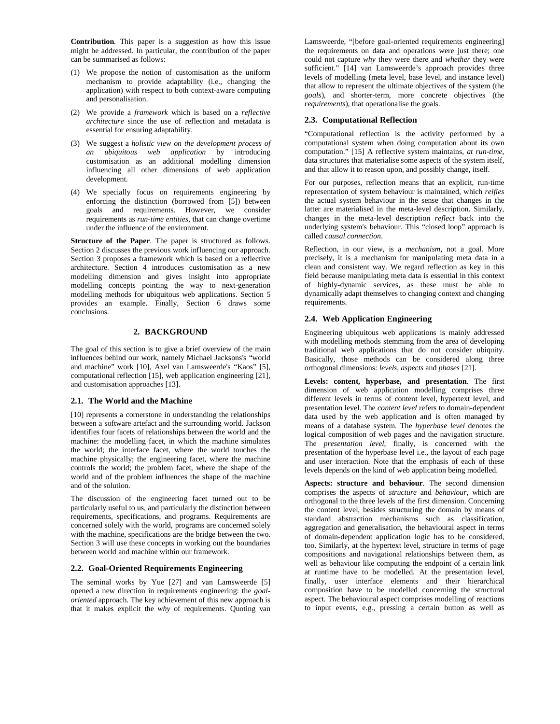**Contribution**. This paper is a suggestion as how this issue might be addressed. In particular, the contribution of the paper can be summarised as follows:

- (1) We propose the notion of customisation as the uniform mechanism to provide adaptability (i.e., changing the application) with respect to both context-aware computing and personalisation.
- (2) We provide a *framework* which is based on a *reflective architecture* since the use of reflection and metadata is essential for ensuring adaptability.
- (3) We suggest a *holistic view on the development process of an ubiquitous web application* by introducing customisation as an additional modelling dimension influencing all other dimensions of web application development.
- (4) We specially focus on requirements engineering by enforcing the distinction (borrowed from [5]) between goals and requirements. However, we consider requirements as *run-time entities*, that can change overtime under the influence of the environment.

**Structure of the Paper**. The paper is structured as follows. Section 2 discusses the previous work influencing our approach. Section 3 proposes a framework which is based on a reflective architecture. Section 4 introduces customisation as a new modelling dimension and gives insight into appropriate modelling concepts pointing the way to next-generation modelling methods for ubiquitous web applications. Section 5 provides an example. Finally, Section 6 draws some conclusions.

# **2. BACKGROUND**

The goal of this section is to give a brief overview of the main influences behind our work, namely Michael Jacksons's "world and machine" work [10], Axel van Lamsweerde's "Kaos" [5], computational reflection [15], web application engineering [21], and customisation approaches [13].

#### **2.1. The World and the Machine**

[10] represents a cornerstone in understanding the relationships between a software artefact and the surrounding world. Jackson identifies four facets of relationships between the world and the machine: the modelling facet, in which the machine simulates the world; the interface facet, where the world touches the machine physically; the engineering facet, where the machine controls the world; the problem facet, where the shape of the world and of the problem influences the shape of the machine and of the solution.

The discussion of the engineering facet turned out to be particularly useful to us, and particularly the distinction between requirements, specifications, and programs. Requirements are concerned solely with the world, programs are concerned solely with the machine, specifications are the bridge between the two. Section 3 will use these concepts in working out the boundaries between world and machine within our framework.

## **2.2. Goal-Oriented Requirements Engineering**

The seminal works by Yue [27] and van Lamsweerde [5] opened a new direction in requirements engineering: the *goaloriented* approach. The key achievement of this new approach is that it makes explicit the *why* of requirements. Quoting van Lamsweerde, "[before goal-oriented requirements engineering] the requirements on data and operations were just there; one could not capture *why* they were there and *whether* they were sufficient." [14] van Lamsweerde's approach provides three levels of modelling (meta level, base level, and instance level) that allow to represent the ultimate objectives of the system (the *goals*), and shorter-term, more concrete objectives (the *requirements*), that operationalise the goals.

# **2.3. Computational Reflection**

"Computational reflection is the activity performed by a computational system when doing computation about its own computation." [15] A reflective system maintains, *at run-time*, data structures that materialise some aspects of the system itself, and that allow it to reason upon, and possibly change, itself.

For our purposes, reflection means that an explicit, run-time representation of system behaviour is maintained, which *reifies* the actual system behaviour in the sense that changes in the latter are materialised in the meta-level description. Similarly, changes in the meta-level description *reflect* back into the underlying system's behaviour. This "closed loop" approach is called *causal connection*.

Reflection, in our view, is a *mechanism*, not a goal. More precisely, it is a mechanism for manipulating meta data in a clean and consistent way. We regard reflection as key in this field because manipulating meta data is essential in this context of highly-dynamic services, as these must be able to dynamically adapt themselves to changing context and changing requirements.

## **2.4. Web Application Engineering**

Engineering ubiquitous web applications is mainly addressed with modelling methods stemming from the area of developing traditional web applications that do not consider ubiquity. Basically, those methods can be considered along three orthogonal dimensions: *levels*, *aspects* and *phases* [21].

**Levels: content, hyperbase, and presentation**. The first dimension of web application modelling comprises three different levels in terms of content level, hypertext level, and presentation level. The *content level* refers to domain-dependent data used by the web application and is often managed by means of a database system. The *hyperbase level* denotes the logical composition of web pages and the navigation structure. The *presentation level*, finally, is concerned with the presentation of the hyperbase level i.e., the layout of each page and user interaction. Note that the emphasis of each of these levels depends on the kind of web application being modelled.

**Aspects: structure and behaviour**. The second dimension comprises the aspects of *structure* and *behaviour*, which are orthogonal to the three levels of the first dimension. Concerning the content level, besides structuring the domain by means of standard abstraction mechanisms such as classification, aggregation and generalisation, the behavioural aspect in terms of domain-dependent application logic has to be considered, too. Similarly, at the hypertext level, structure in terms of page compositions and navigational relationships between them, as well as behaviour like computing the endpoint of a certain link at runtime have to be modelled. At the presentation level, finally, user interface elements and their hierarchical composition have to be modelled concerning the structural aspect. The behavioural aspect comprises modelling of reactions to input events, e.g., pressing a certain button as well as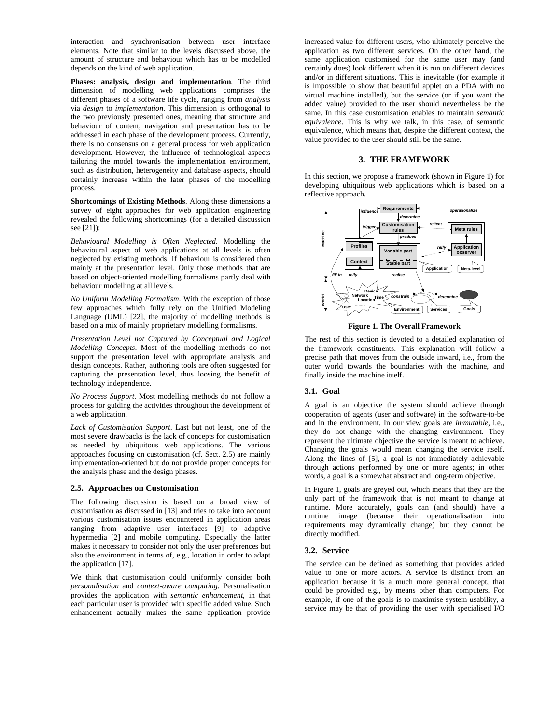interaction and synchronisation between user interface elements. Note that similar to the levels discussed above, the amount of structure and behaviour which has to be modelled depends on the kind of web application.

**Phases: analysis, design and implementation**. The third dimension of modelling web applications comprises the different phases of a software life cycle, ranging from *analysis* via *design* to *implementation*. This dimension is orthogonal to the two previously presented ones, meaning that structure and behaviour of content, navigation and presentation has to be addressed in each phase of the development process. Currently, there is no consensus on a general process for web application development. However, the influence of technological aspects tailoring the model towards the implementation environment, such as distribution, heterogeneity and database aspects, should certainly increase within the later phases of the modelling process.

**Shortcomings of Existing Methods**. Along these dimensions a survey of eight approaches for web application engineering revealed the following shortcomings (for a detailed discussion see [21]):

*Behavioural Modelling is Often Neglected*. Modelling the behavioural aspect of web applications at all levels is often neglected by existing methods. If behaviour is considered then mainly at the presentation level. Only those methods that are based on object-oriented modelling formalisms partly deal with behaviour modelling at all levels.

*No Uniform Modelling Formalism*. With the exception of those few approaches which fully rely on the Unified Modeling Language (UML) [22], the majority of modelling methods is based on a mix of mainly proprietary modelling formalisms.

*Presentation Level not Captured by Conceptual and Logical Modelling Concepts*. Most of the modelling methods do not support the presentation level with appropriate analysis and design concepts. Rather, authoring tools are often suggested for capturing the presentation level, thus loosing the benefit of technology independence.

*No Process Support*. Most modelling methods do not follow a process for guiding the activities throughout the development of a web application.

*Lack of Customisation Support*. Last but not least, one of the most severe drawbacks is the lack of concepts for customisation as needed by ubiquitous web applications. The various approaches focusing on customisation (cf. Sect. 2.5) are mainly implementation-oriented but do not provide proper concepts for the analysis phase and the design phases.

## **2.5. Approaches on Customisation**

The following discussion is based on a broad view of customisation as discussed in [13] and tries to take into account various customisation issues encountered in application areas ranging from adaptive user interfaces [9] to adaptive hypermedia [2] and mobile computing. Especially the latter makes it necessary to consider not only the user preferences but also the environment in terms of, e.g., location in order to adapt the application [17].

We think that customisation could uniformly consider both *personalisation* and *context-aware computing*. Personalisation provides the application with *semantic enhancement*, in that each particular user is provided with specific added value. Such enhancement actually makes the same application provide increased value for different users, who ultimately perceive the application as two different services. On the other hand, the same application customised for the same user may (and certainly does) look different when it is run on different devices and/or in different situations. This is inevitable (for example it is impossible to show that beautiful applet on a PDA with no virtual machine installed), but the service (or if you want the added value) provided to the user should nevertheless be the same. In this case customisation enables to maintain *semantic equivalence*. This is why we talk, in this case, of semantic equivalence, which means that, despite the different context, the value provided to the user should still be the same.

#### **3. THE FRAMEWORK**

In this section, we propose a framework (shown in Figure 1) for developing ubiquitous web applications which is based on a reflective approach.



**Figure 1. The Overall Framework**

The rest of this section is devoted to a detailed explanation of the framework constituents. This explanation will follow a precise path that moves from the outside inward, i.e., from the outer world towards the boundaries with the machine, and finally inside the machine itself.

### **3.1. Goal**

A goal is an objective the system should achieve through cooperation of agents (user and software) in the software-to-be and in the environment. In our view goals are *immutable*, i.e., they do not change with the changing environment. They represent the ultimate objective the service is meant to achieve. Changing the goals would mean changing the service itself. Along the lines of [5], a goal is not immediately achievable through actions performed by one or more agents; in other words, a goal is a somewhat abstract and long-term objective.

In Figure 1, goals are greyed out, which means that they are the only part of the framework that is not meant to change at runtime. More accurately, goals can (and should) have a runtime image (because their operationalisation into requirements may dynamically change) but they cannot be directly modified.

#### **3.2. Service**

The service can be defined as something that provides added value to one or more actors. A service is distinct from an application because it is a much more general concept, that could be provided e.g., by means other than computers. For example, if one of the goals is to maximise system usability, a service may be that of providing the user with specialised I/O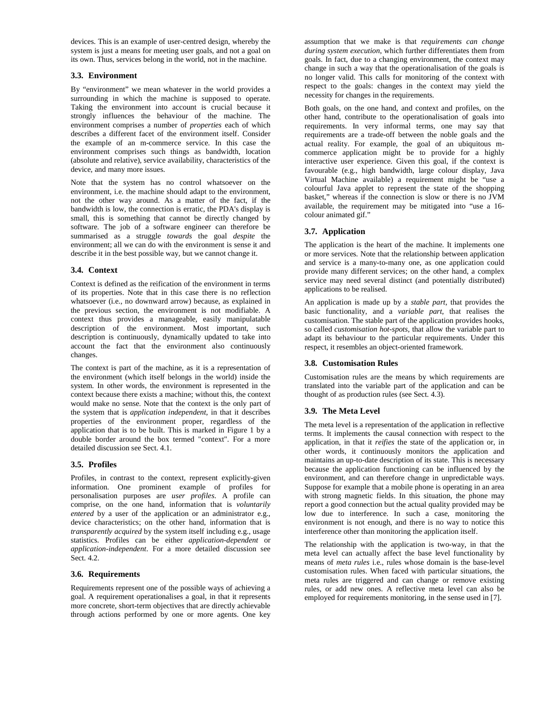devices. This is an example of user-centred design, whereby the system is just a means for meeting user goals, and not a goal on its own. Thus, services belong in the world, not in the machine.

## **3.3. Environment**

By "environment" we mean whatever in the world provides a surrounding in which the machine is supposed to operate. Taking the environment into account is crucial because it strongly influences the behaviour of the machine. The environment comprises a number of *properties* each of which describes a different facet of the environment itself. Consider the example of an m-commerce service. In this case the environment comprises such things as bandwidth, location (absolute and relative), service availability, characteristics of the device, and many more issues.

Note that the system has no control whatsoever on the environment, i.e. the machine should adapt to the environment, not the other way around. As a matter of the fact, if the bandwidth is low, the connection is erratic, the PDA's display is small, this is something that cannot be directly changed by software. The job of a software engineer can therefore be summarised as a struggle *towards* the goal *despite* the environment; all we can do with the environment is sense it and describe it in the best possible way, but we cannot change it.

#### **3.4. Context**

Context is defined as the reification of the environment in terms of its properties. Note that in this case there is no reflection whatsoever (i.e., no downward arrow) because, as explained in the previous section, the environment is not modifiable. A context thus provides a manageable, easily manipulatable description of the environment. Most important, such description is continuously, dynamically updated to take into account the fact that the environment also continuously changes.

The context is part of the machine, as it is a representation of the environment (which itself belongs in the world) inside the system. In other words, the environment is represented in the context because there exists a machine; without this, the context would make no sense. Note that the context is the only part of the system that is *application independent*, in that it describes properties of the environment proper, regardless of the application that is to be built. This is marked in Figure 1 by a double border around the box termed "context". For a more detailed discussion see Sect. 4.1.

#### **3.5. Profiles**

Profiles, in contrast to the context, represent explicitly-given information. One prominent example of profiles for personalisation purposes are *user profiles*. A profile can comprise, on the one hand, information that is *voluntarily entered* by a user of the application or an administrator e.g., device characteristics; on the other hand, information that is *transparently acquired* by the system itself including e.g., usage statistics. Profiles can be either *application-dependent* or *application-independent*. For a more detailed discussion see Sect. 4.2.

## **3.6. Requirements**

Requirements represent one of the possible ways of achieving a goal. A requirement operationalises a goal, in that it represents more concrete, short-term objectives that are directly achievable through actions performed by one or more agents. One key assumption that we make is that *requirements can change during system execution*, which further differentiates them from goals. In fact, due to a changing environment, the context may change in such a way that the operationalisation of the goals is no longer valid. This calls for monitoring of the context with respect to the goals: changes in the context may yield the necessity for changes in the requirements.

Both goals, on the one hand, and context and profiles, on the other hand, contribute to the operationalisation of goals into requirements. In very informal terms, one may say that requirements are a trade-off between the noble goals and the actual reality. For example, the goal of an ubiquitous mcommerce application might be to provide for a highly interactive user experience. Given this goal, if the context is favourable (e.g., high bandwidth, large colour display, Java Virtual Machine available) a requirement might be "use a colourful Java applet to represent the state of the shopping basket," whereas if the connection is slow or there is no JVM available, the requirement may be mitigated into "use a 16 colour animated gif."

#### **3.7. Application**

The application is the heart of the machine. It implements one or more services. Note that the relationship between application and service is a many-to-many one, as one application could provide many different services; on the other hand, a complex service may need several distinct (and potentially distributed) applications to be realised.

An application is made up by a *stable part*, that provides the basic functionality, and a *variable part*, that realises the customisation. The stable part of the application provides hooks, so called *customisation hot-spots*, that allow the variable part to adapt its behaviour to the particular requirements. Under this respect, it resembles an object-oriented framework.

#### **3.8. Customisation Rules**

Customisation rules are the means by which requirements are translated into the variable part of the application and can be thought of as production rules (see Sect. 4.3).

#### **3.9. The Meta Level**

The meta level is a representation of the application in reflective terms. It implements the causal connection with respect to the application, in that it *reifies* the state of the application or, in other words, it continuously monitors the application and maintains an up-to-date description of its state. This is necessary because the application functioning can be influenced by the environment, and can therefore change in unpredictable ways. Suppose for example that a mobile phone is operating in an area with strong magnetic fields. In this situation, the phone may report a good connection but the actual quality provided may be low due to interference. In such a case, monitoring the environment is not enough, and there is no way to notice this interference other than monitoring the application itself.

The relationship with the application is two-way, in that the meta level can actually affect the base level functionality by means of *meta rules* i.e., rules whose domain is the base-level customisation rules. When faced with particular situations, the meta rules are triggered and can change or remove existing rules, or add new ones. A reflective meta level can also be employed for requirements monitoring, in the sense used in [7].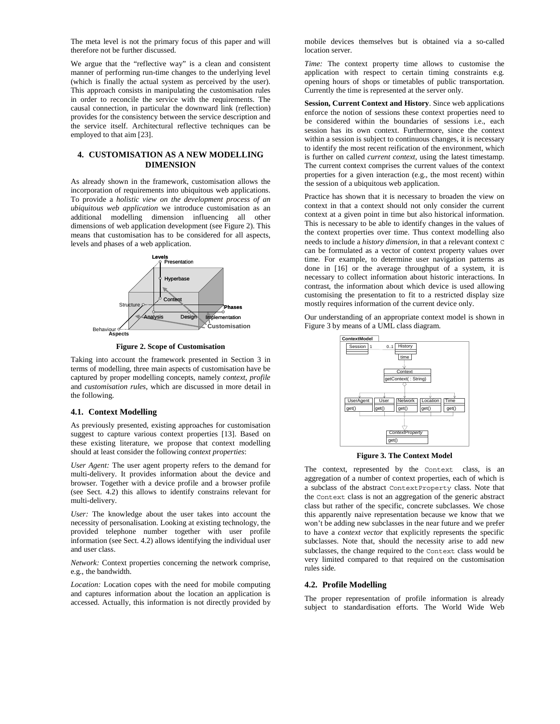The meta level is not the primary focus of this paper and will therefore not be further discussed.

We argue that the "reflective way" is a clean and consistent manner of performing run-time changes to the underlying level (which is finally the actual system as perceived by the user). This approach consists in manipulating the customisation rules in order to reconcile the service with the requirements. The causal connection, in particular the downward link (reflection) provides for the consistency between the service description and the service itself. Architectural reflective techniques can be employed to that aim [23].

#### **4. CUSTOMISATION AS A NEW MODELLING DIMENSION**

As already shown in the framework, customisation allows the incorporation of requirements into ubiquitous web applications. To provide a *holistic view on the development process of an ubiquitous web application* we introduce customisation as an additional modelling dimension influencing all other dimensions of web application development (see Figure 2). This means that customisation has to be considered for all aspects, levels and phases of a web application.



**Figure 2. Scope of Customisation**

Taking into account the framework presented in Section 3 in terms of modelling, three main aspects of customisation have be captured by proper modelling concepts, namely *context*, *profile* and *customisation rules*, which are discussed in more detail in the following.

#### **4.1. Context Modelling**

As previously presented, existing approaches for customisation suggest to capture various context properties [13]. Based on these existing literature, we propose that context modelling should at least consider the following *context properties*:

*User Agent:* The user agent property refers to the demand for multi-delivery. It provides information about the device and browser. Together with a device profile and a browser profile (see Sect. 4.2) this allows to identify constrains relevant for multi-delivery.

*User:* The knowledge about the user takes into account the necessity of personalisation. Looking at existing technology, the provided telephone number together with user profile information (see Sect. 4.2) allows identifying the individual user and user class.

*Network:* Context properties concerning the network comprise, e.g., the bandwidth.

*Location:* Location copes with the need for mobile computing and captures information about the location an application is accessed. Actually, this information is not directly provided by mobile devices themselves but is obtained via a so-called location server.

*Time:* The context property time allows to customise the application with respect to certain timing constraints e.g. opening hours of shops or timetables of public transportation. Currently the time is represented at the server only.

**Session, Current Context and History**. Since web applications enforce the notion of sessions these context properties need to be considered within the boundaries of sessions i.e., each session has its own context. Furthermore, since the context within a session is subject to continuous changes, it is necessary to identify the most recent reification of the environment, which is further on called *current context,* using the latest timestamp. The current context comprises the current values of the context properties for a given interaction (e.g., the most recent) within the session of a ubiquitous web application.

Practice has shown that it is necessary to broaden the view on context in that a context should not only consider the current context at a given point in time but also historical information. This is necessary to be able to identify changes in the values of the context properties over time. Thus context modelling also needs to include a *history dimension*, in that a relevant context C can be formulated as a vector of context property values over time*.* For example, to determine user navigation patterns as done in [16] or the average throughput of a system, it is necessary to collect information about historic interactions. In contrast, the information about which device is used allowing customising the presentation to fit to a restricted display size mostly requires information of the current device only.

Our understanding of an appropriate context model is shown in Figure 3 by means of a UML class diagram.



**Figure 3. The Context Model**

The context, represented by the Context class, is an aggregation of a number of context properties, each of which is a subclass of the abstract ContextProperty class. Note that the Context class is not an aggregation of the generic abstract class but rather of the specific, concrete subclasses. We chose this apparently naive representation because we know that we won't be adding new subclasses in the near future and we prefer to have a *context vector* that explicitly represents the specific subclasses. Note that, should the necessity arise to add new subclasses, the change required to the Context class would be very limited compared to that required on the customisation rules side.

### **4.2. Profile Modelling**

The proper representation of profile information is already subject to standardisation efforts. The World Wide Web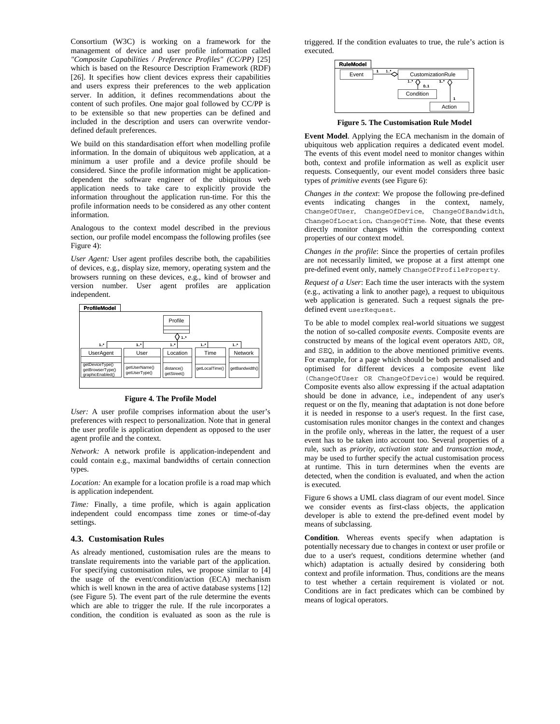Consortium (W3C) is working on a framework for the management of device and user profile information called *"Composite Capabilities / Preference Profiles" (CC/PP)* [25] which is based on the Resource Description Framework (RDF) [26]. It specifies how client devices express their capabilities and users express their preferences to the web application server. In addition, it defines recommendations about the content of such profiles. One major goal followed by CC/PP is to be extensible so that new properties can be defined and included in the description and users can overwrite vendordefined default preferences.

We build on this standardisation effort when modelling profile information. In the domain of ubiquitous web application, at a minimum a user profile and a device profile should be considered. Since the profile information might be applicationdependent the software engineer of the ubiquitous web application needs to take care to explicitly provide the information throughout the application run-time. For this the profile information needs to be considered as any other content information.

Analogous to the context model described in the previous section, our profile model encompass the following profiles (see Figure 4):

*User Agent:* User agent profiles describe both, the capabilities of devices, e.g., display size, memory, operating system and the browsers running on these devices, e.g., kind of browser and version number. User agent profiles are application independent.



| .                                                       |                                |                           |                |                |
|---------------------------------------------------------|--------------------------------|---------------------------|----------------|----------------|
|                                                         |                                | Profile<br>1.5            |                |                |
| 1.5                                                     | 1.7                            | 1.7                       | 1.7            | 1.7            |
| <b>UserAgent</b>                                        | User                           | Location                  | Time           | Network        |
| getDeviceType()<br>getBrowserType()<br>graphicEnabled() | getUserName()<br>getUserType() | distance()<br>getStreet() | getLocalTime() | getBandwidth() |
|                                                         |                                |                           |                |                |

#### **Figure 4. The Profile Model**

*User:* A user profile comprises information about the user's preferences with respect to personalization. Note that in general the user profile is application dependent as opposed to the user agent profile and the context.

*Network:* A network profile is application-independent and could contain e.g., maximal bandwidths of certain connection types.

*Location:* An example for a location profile is a road map which is application independent.

*Time:* Finally, a time profile, which is again application independent could encompass time zones or time-of-day settings.

### **4.3. Customisation Rules**

As already mentioned, customisation rules are the means to translate requirements into the variable part of the application. For specifying customisation rules, we propose similar to [4] the usage of the event/condition/action (ECA) mechanism which is well known in the area of active database systems [12] (see Figure 5). The event part of the rule determine the events which are able to trigger the rule. If the rule incorporates a condition, the condition is evaluated as soon as the rule is triggered. If the condition evaluates to true, the rule's action is executed.



**Figure 5. The Customisation Rule Model**

**Event Model**. Applying the ECA mechanism in the domain of ubiquitous web application requires a dedicated event model. The events of this event model need to monitor changes within both, context and profile information as well as explicit user requests. Consequently, our event model considers three basic types of *primitive events* (see Figure 6):

*Changes in the context*: We propose the following pre-defined events indicating changes in the context, namely, ChangeOfUser, ChangeOfDevice, ChangeOfBandwidth, ChangeOfLocation, ChangeOfTime. Note, that these events directly monitor changes within the corresponding context properties of our context model.

*Changes in the profile*: Since the properties of certain profiles are not necessarily limited, we propose at a first attempt one pre-defined event only, namely ChangeOfProfileProperty.

*Request of a User*: Each time the user interacts with the system (e.g., activating a link to another page), a request to ubiquitous web application is generated. Such a request signals the predefined event userRequest.

To be able to model complex real-world situations we suggest the notion of so-called *composite events*. Composite events are constructed by means of the logical event operators AND, OR, and SEQ, in addition to the above mentioned primitive events. For example, for a page which should be both personalised and optimised for different devices a composite event like (ChangeOfUser OR ChangeOfDevice) would be required. Composite events also allow expressing if the actual adaptation should be done in advance, i.e., independent of any user's request or on the fly, meaning that adaptation is not done before it is needed in response to a user's request. In the first case, customisation rules monitor changes in the context and changes in the profile only, whereas in the latter, the request of a user event has to be taken into account too. Several properties of a rule, such as *priority*, *activation state* and *transaction mode*, may be used to further specify the actual customisation process at runtime. This in turn determines when the events are detected, when the condition is evaluated, and when the action is executed.

Figure 6 shows a UML class diagram of our event model. Since we consider events as first-class objects, the application developer is able to extend the pre-defined event model by means of subclassing.

**Condition**. Whereas events specify when adaptation is potentially necessary due to changes in context or user profile or due to a user's request, conditions determine whether (and which) adaptation is actually desired by considering both context and profile information. Thus, conditions are the means to test whether a certain requirement is violated or not. Conditions are in fact predicates which can be combined by means of logical operators.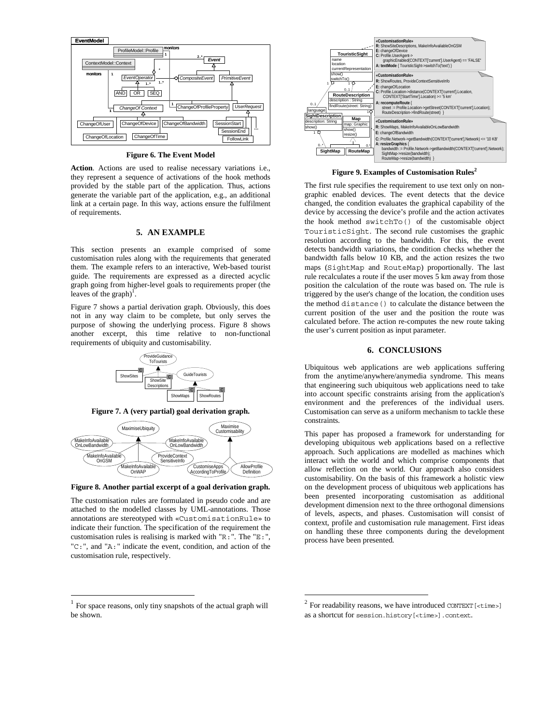

**Figure 6. The Event Model**

**Action**. Actions are used to realise necessary variations i.e., they represent a sequence of activations of the hook methods provided by the stable part of the application. Thus, actions generate the variable part of the application, e.g., an additional link at a certain page. In this way, actions ensure the fulfilment of requirements.

## **5. AN EXAMPLE**

This section presents an example comprised of some customisation rules along with the requirements that generated them. The example refers to an interactive, Web-based tourist guide. The requirements are expressed as a directed acyclic graph going from higher-level goals to requirements proper (the leaves of the graph) $\frac{1}{1}$ .

Figure 7 shows a partial derivation graph. Obviously, this does not in any way claim to be complete, but only serves the purpose of showing the underlying process. Figure 8 shows another excerpt, this time relative to non-functional requirements of ubiquity and customisability.



**Figure 7. A (very partial) goal derivation graph.**



**Figure 8. Another partial excerpt of a goal derivation graph.**

The customisation rules are formulated in pseudo code and are attached to the modelled classes by UML-annotations. Those annotations are stereotyped with «CustomisationRule» to indicate their function. The specification of the requirement the customisation rules is realising is marked with "R:". The "E:", "C:", and "A:" indicate the event, condition, and action of the customisation rule, respectively.



**Figure 9. Examples of Customisation Rules<sup>2</sup>**

The first rule specifies the requirement to use text only on nongraphic enabled devices. The event detects that the device changed, the condition evaluates the graphical capability of the device by accessing the device's profile and the action activates the hook method switchTo() of the customisable object TouristicSight. The second rule customises the graphic resolution according to the bandwidth. For this, the event detects bandwidth variations, the condition checks whether the bandwidth falls below 10 KB, and the action resizes the two maps (SightMap and RouteMap) proportionally. The last rule recalculates a route if the user moves 5 km away from those position the calculation of the route was based on. The rule is triggered by the user's change of the location, the condition uses the method distance() to calculate the distance between the current position of the user and the position the route was calculated before. The action re-computes the new route taking the user's current position as input parameter.

#### **6. CONCLUSIONS**

Ubiquitous web applications are web applications suffering from the anytime/anywhere/anymedia syndrome. This means that engineering such ubiquitous web applications need to take into account specific constraints arising from the application's environment and the preferences of the individual users. Customisation can serve as a uniform mechanism to tackle these constraints.

This paper has proposed a framework for understanding for developing ubiquitous web applications based on a reflective approach. Such applications are modelled as machines which interact with the world and which comprise components that allow reflection on the world. Our approach also considers customisability. On the basis of this framework a holistic view on the development process of ubiquitous web applications has been presented incorporating customisation as additional development dimension next to the three orthogonal dimensions of levels, aspects, and phases. Customisation will consist of context, profile and customisation rule management. First ideas on handling these three components during the development process have been presented.

 $1$  For space reasons, only tiny snapshots of the actual graph will be shown.

 $2$  For readability reasons, we have introduced CONTEXT [<time>] as a shortcut for session.history[<time>].context.